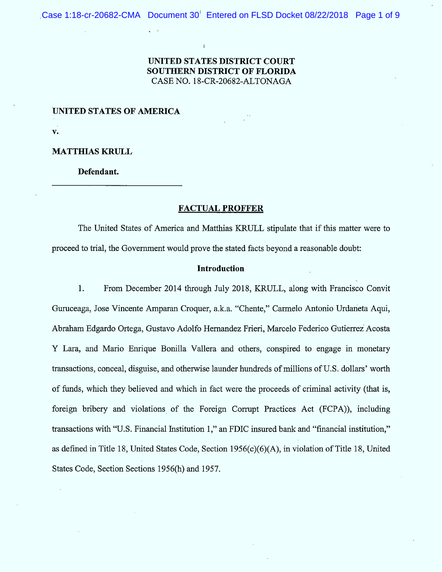Case 1:18-cr-20682-CMA Document 30<sup>t</sup> Entered on FLSD Docket 08/22/2018 Page 1 of 9

# UNITED STATES DISTRICT COURT SOUTHERN DISTRICT OF FLORIDA CASE NO. 18-CR-20682-ALTONAGA

UNITED STATES OF AMERICA

 $\mathbf{v}$ .

**MATTHIAS KRULL** 

Defendant.

## **FACTUAL PROFFER**

The United States of America and Matthias KRULL stipulate that if this matter were to proceed to trial, the Government would prove the stated facts beyond a reasonable doubt:

## Introduction

1. From December 2014 through July 2018, KRULL, along with Francisco Convit Guruceaga, Jose Vincente Amparan Croquer, a.k.a. "Chente," Carmelo Antonio Urdaneta Aqui, Abraham Edgardo Ortega, Gustavo Adolfo Hernandez Frieri, Marcelo Federico Gutierrez Acosta Y Lara, and Mario Enrique Bonilla Vallera and others, conspired to engage in monetary transactions, conceal, disguise, and otherwise launder hundreds of millions of U.S. dollars' worth of funds, which they believed and which in fact were the proceeds of criminal activity (that is, foreign bribery and violations of the Foreign Corrupt Practices Act (FCPA), including transactions with "U.S. Financial Institution 1," an FDIC insured bank and "financial institution," as defined in Title 18, United States Code, Section 1956(c)(6)(A), in violation of Title 18, United States Code, Section Sections 1956(h) and 1957.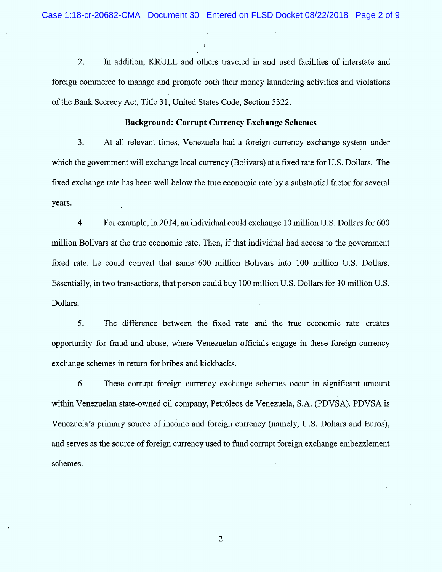$2.$ In addition, KRULL and others traveled in and used facilities of interstate and foreign commerce to manage and promote both their money laundering activities and violations of the Bank Secrecy Act, Title 31, United States Code, Section 5322.

## Background: Corrupt Currency Exchange Schemes

 $3.$ At all relevant times, Venezuela had a foreign-currency exchange system under which the government will exchange local currency (Bolivars) at a fixed rate for U.S. Dollars. The fixed exchange rate has been well below the true economic rate by a substantial factor for several years.

4. For example, in 2014, an individual could exchange 10 million U.S. Dollars for 600 million Bolivars at the true economic rate. Then, if that individual had access to the government fixed rate, he could convert that same 600 million Bolivars into 100 million U.S. Dollars. Essentially, in two transactions, that person could buy 100 million U.S. Dollars for 10 million U.S. Dollars.

5. The difference between the fixed rate and the true economic rate creates opportunity for fraud and abuse, where Venezuelan officials engage in these foreign currency exchange schemes in retum for bribes and kickbacks.

6. These corrupt foreign currency exchange schemes occur in significant amount within Venezuelan state-owned oil company, Petróleos de Venezuela, S.A. (PDVSA). PDVSA is Venezuela's primary source of income and foreign currency (namely, U.S. Dollars and Euros), and serves as the source of foreign currency used to fund corrupt foreign exchange embezzlement schemes.

 $\overline{2}$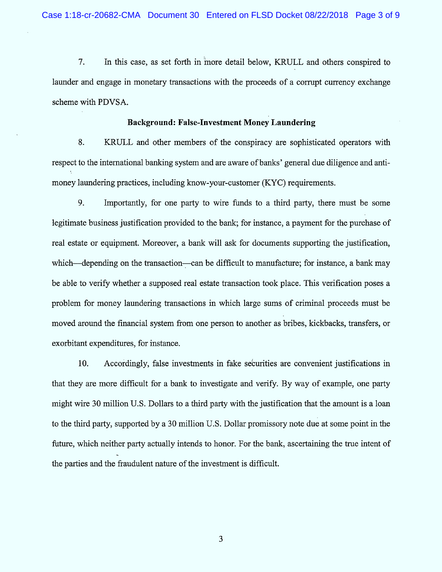$7.$ In this case, as set forth in inore detail below, KRULL and others conspired to launder and engage in monetary transactions with the proceeds of a corrupt currency exchange scheme with PDVSA.

#### Background: False-Investment Money Laundering

8. KRULL and other members of the conspiracy are sophisticated operators with respect to the international banking system and are aware of banks' general due diligence and anti-1. money laundering practices, including know-your-customer (KYC) requirements.

9. Importantly, for one party to wire funds to a third party, there must be some legitimate business justification provided to the bank; for instance, a payment for the purchase of real estate or equipment. Moreover, a bank will ask for documents supporting the justification, which—depending on the transaction—can be difficult to manufacture; for instance, a bank may be able to verify whether a supposed real estate transaction took place. This verification poses a problem for money laundering transactions in which large sums of criminal proceeds must be moved around the financial system from one person to another as bribes, kickbacks, transfers, or exorbitant expenditures, for instance.

10. Accordingly, false investments in fake seturities are convenient justifications in that they are more difficult for a bank to investigate and verify. By way of example, one party might wire 30 million U.S. Dollars to a third party with the justification that the amount is a loan to the third party, supported by a 30 million U.S. Dollar promissory note due at some point in the future, which neither party actually intends to honor. For the bank, ascertaining the true intent of the parties and the fraudulent nature of the investment is difficult.

 $\mathfrak{Z}$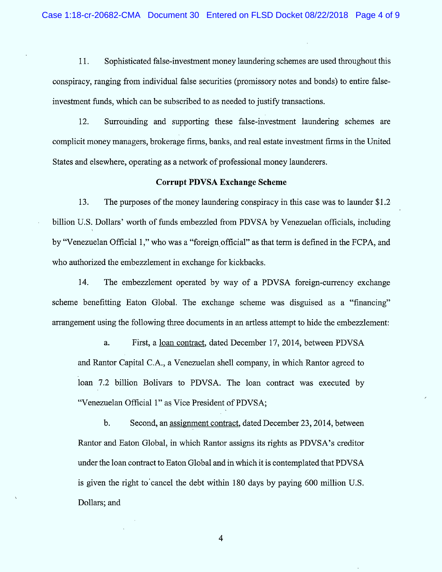11. Sophisticated false-investment money laundering schemes are used throughout this conspiracy, ranging from individual false securities (promissory notes and bonds) to entire falseinvestment funds, which can be subscribed to as needed to justify transactions.

12. Surrounding and supporting these false-investment laundering schemes are complicit money managers, brokerage firms, banks, and real estate investment firms in the United States and elsewhere, operating as a network of professional money launderers.

#### Corrupt PDVSA Exchange Scheme

13. The purposes of the money laundering conspiracy in this case was to launder  $$1.2$ billion U.S. Dollars' worth of funds embezzled from PDVSA by Venezuelan officials, including by "Venezuelan Official 1," who was a "foreign official" as that term is defined in the FCPA, and who authorized the embezzlement in exchange for kickbacks.

14. The embezzlement operated by way of a PDVSA foreign-currency exchange scheme benefitting Eaton Global. The exchange scheme was disguised as a "financing" arrangement using the following three documents in an artless attempt to hide the embezzlement:

a. First, a loan contract, dated December 17, 2014, between PDVSA and Rantor Capital C.A., a Venezuelan shell company, in which Rantor agreed to loan 7.2 billion Bolivars to PDVSA. The loan contract was executed by "Venezuelan Official 1" as Vice President of PDVSA;

b. Second, an assignment contract, dated December 23, 2014, between Rantor and Eaton Global, in which Rantor assigns its rights as PDVSA's creditor under the loan contract to Eaton Global and in which it is contemplated that PDVSA is given the right to cancel the debt within 180 days by paying 600 million U.S. Dollars; and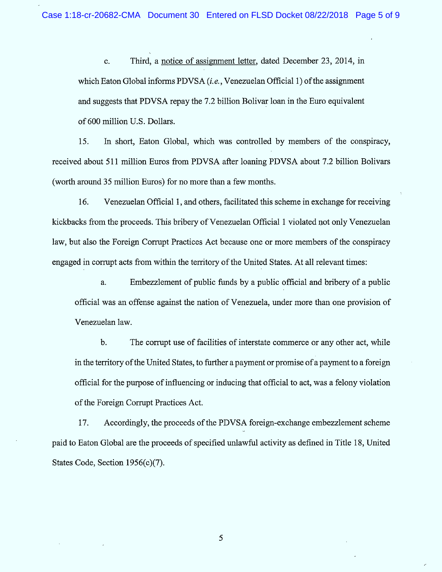C. which Eaton Global informs PDVSA (*i.e.*, Venezuelan Official 1) of the assignment and suggests that PDVSA repay the 7.2 billion Bolivar loan in the Euro equivalent of 600 million U.S. Dollars. Third, a notice of assignment letter, dated December 23, 2014, in

15. In short, Eaton Global, which was controlled by members of the conspiracy, received about 511 million Euros from PDVSA after loaning PDVSA about 7.2 billion Bolivars (worth around 35 million Euros) for no more than a few months.

16. Venezuelan Official 1, and others, facilitated this scheme in exchange for receiving kickbacks from the proceeds. This bribery of Venezuelan Official 1 violated not only Venezuelan law, but also the Foreign Corrupt Practices Act because one or more members of the conspiracy engaged in corrupt acts from within the territory of the United States. At all relevant times:

a. Embezzlem ent of public funds by a public official and bribery of a public official was an offense against the nation of V enezuela, under more than one provision of Venezuelan law.

b. The corrupt use of facilities of interstate commerce or any other act, while in the territory of the United States, to further a payment or promise of a payment to a foreign official for the purpose of influencing or inducing that official to act, was a felony violation of the Foreign Corrupt Practices Act.

17. Accordingly, the proceeds of the PDVSA foreign-exchange embezzlement scheme paid to Eaton Global are the proceeds of specified unlawful activity as defned in Title 18, United States Code, Section 1956(c)(7).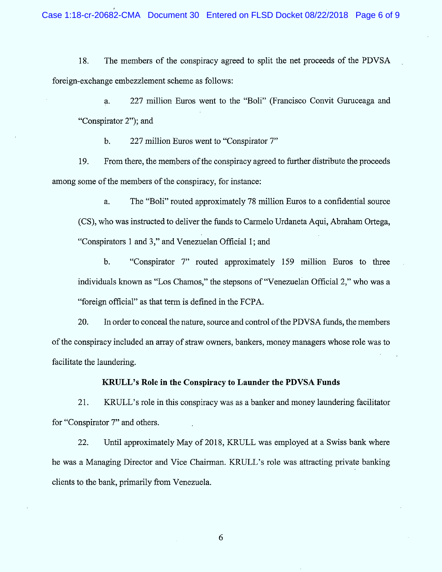18. The members of the conspiracy agreed to split the net proceeds of the PDVSA foreign-exchange embezzlement scheme as follows:

a. 227 million Euros went to the "Boli" (Francisco Convit Guruceaga and "Conspirator 2"); and

b. 227 million Euros went to "Conspirator 7"

19. From there, the members of the conspiracy agreed to further distribute the proceeds among some of the members of the conspiracy, for instance:

a. (CS), who was instructed to deliver the funds to Carmelo Urdaneta Aqui, Abraham Ortega, "Conspirators 1 and 3," and Venezuelan Official 1; and The "Boli" routed approximately 78 million Euros to a confidential source

b. "Conspirator 7" routed approximately 159 million Euros to three individuals known as "Los Chamos," the stepsons of "Venezuelan Official 2," who was a ç<foreign official'' as that term is defined in the FCPA.

20. In order to conceal the nature, source and control of the PDVSA funds, the members of the conspiracy included an array of straw owners, bankers, money managers whose role was to facilitate the laundering.

# KRULL's Role in the Conspiracy to Launder the PDVSA Funds

21. KRULL's role in this conspiracy was as a banker and money laundering facilitator for "Conspirator 7" and others.

22. Until approximately May of 2018, KRULL was employed at a Swiss bank where he was a Managing Director and Vice Chairman. KRULL's role was attracting private banking clients to the bank, primarily from Venezuela.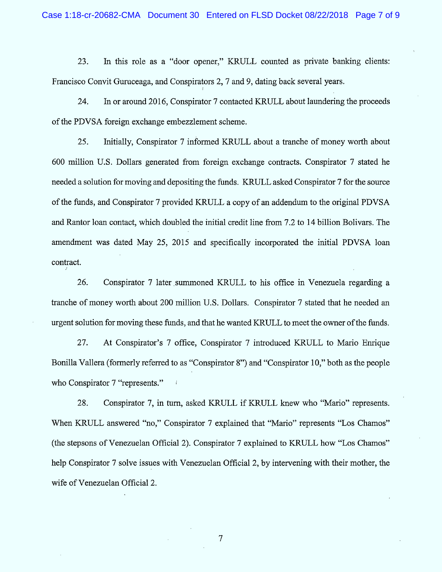23. In this role as a "door opener," KRULL counted as private banking clients: Francisco Convit Guruceaga, and Conspirators 2, 7 and 9, dating back several years.

24. In or around 2016, Conspirator 7 contacted KRULL about laundering the proceeds of the PDVSA foreign exchange embezzlement scheme.

25. Initially, Conspirator 7 informed KRULL about a tranche of money worth about 600 million U.S. Dollars generated from foreign exchange contracts. Conspirator 7 stated he needed a solution for moving and depositing the funds. KRULL asked Conspirator 7 for the source of the funds, and Conspirator 7 provided KRULL a copy of an addendum to the original PDVSA and Rantor loan contact, which doubled the initial credit line from 7.2 to 14 billion Bolivars. The amendment was dated May 25, 2015 and specifically incorporated the initial PDVSA loan contract.

26. Conspirator 7 later summoned KRULL to his office in Venezuela regarding a tranche of money worth about 200 million U.S. Dollars. Conspirator 7 stated that he needed an urgent solution for moving these funds, and that he wanted KRULL to meet the owner of the funds.

27. At Conspirator's 7 office, Conspirator 7 introduced KRULL to Mario Enrique Bonilla Vallera (formerly referred to as "Conspirator 8") and "Conspirator 10," both as the people who Conspirator 7 "represents."

28. Conspirator 7, in turn, asked KRULL if KRULL knew who "Mario" represents. When KRULL answered "no," Conspirator 7 explained that "Mario" represents "Los Chamos" (the stepsons of Venezuelan Official 2). Conspirator  $7$  explained to KRULL how "Los Chamos" help Conspirator 7 solve issues with Venezuelan Official 2, by intervening with their mother, the wife of Venezuelan Official 2.

 $\overline{7}$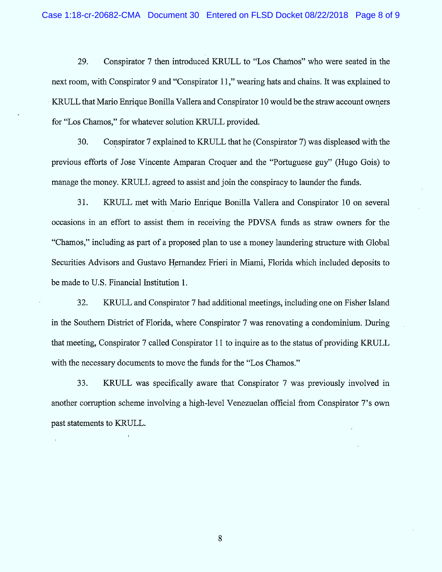29. Conspirator 7 then introduced KRULL to "Los Chamos" who were seated in the next room, with Conspirator 9 and "Conspirator 11," wearing hats and chains. It was explained to KRULL that Mario Enrique Bonilla Vallera and Conspirator 10 would be the straw account owners for "Los Chamos," for whatever solution KRULL provided.

30. Conspirator 7 explained to KRULL that he (Conspirator 7) was displeased with the previous efforts of Jose Vincente Amparan Croquer and the "Portuguese guy" (Hugo Gois) to manage the money. KRULL agreed to assist and join the conspiracy to launder the funds.

31. KRULL met with Mario Enrique Bonilla Vallera and Conspirator 10 on several occasions in an effort to assist them in receiving the PDVSA ftmds as straw owners for the "Chamos," including as part of a proposed plan to use a money laundering structure with Global Securities Advisors and Gustavo Hernandez Frieri in Miami, Florida which included deposits to be made to U.S. Financial Institution 1.

32. KRULL and Conspirator 7 had additional meetings, including one on Fisher Island in the Southern District of Florida, where Conspirator 7 was renovating a condominium. During that meeting, Conspirator 7 called Conspirator 1 1 to inquire as to the status of providing KRULL with the necessary documents to move the funds for the "Los Chamos."

33. KRULL was specifically aware that Conspirator 7 was previously involved in another corruption scheme involving a high-level Venezuelan official from Conspirator 7's own past statements to KRULL.